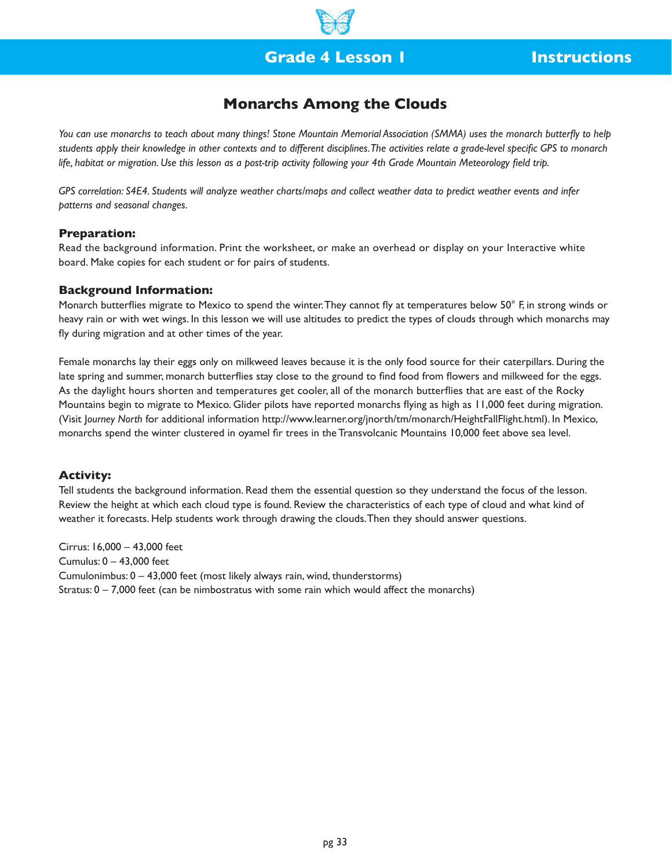

## **Grade 4 Lesson 1 Instructions**

## **Monarchs Among the Clouds**

*You can use monarchs to teach about many things! Stone Mountain Memorial Association (SMMA) uses the monarch butterfly to help students apply their knowledge in other contexts and to different disciplines. The activities relate a grade-level specific GPS to monarch life, habitat or migration. Use this lesson as a post-trip activity following your 4th Grade Mountain Meteorology field trip.*

*GPS correlation: S4E4. Students will analyze weather charts/maps and collect weather data to predict weather events and infer patterns and seasonal changes.*

#### **Preparation:**

Read the background information. Print the worksheet, or make an overhead or display on your Interactive white board. Make copies for each student or for pairs of students.

#### **Background Information:**

Monarch butterflies migrate to Mexico to spend the winter. They cannot fly at temperatures below 50° F, in strong winds or heavy rain or with wet wings. In this lesson we will use altitudes to predict the types of clouds through which monarchs may fly during migration and at other times of the year.

Female monarchs lay their eggs only on milkweed leaves because it is the only food source for their caterpillars. During the late spring and summer, monarch butterflies stay close to the ground to find food from flowers and milkweed for the eggs. As the daylight hours shorten and temperatures get cooler, all of the monarch butterflies that are east of the Rocky Mountains begin to migrate to Mexico. Glider pilots have reported monarchs flying as high as 11,000 feet during migration. (Visit J*ourney North* for additional information http://www.learner.org/jnorth/tm/monarch/HeightFallFlight.html). In Mexico, monarchs spend the winter clustered in oyamel fir trees in the Transvolcanic Mountains 10,000 feet above sea level.

#### **Activity:**

Tell students the background information. Read them the essential question so they understand the focus of the lesson. Review the height at which each cloud type is found. Review the characteristics of each type of cloud and what kind of weather it forecasts. Help students work through drawing the clouds. Then they should answer questions.

Cirrus: 16,000 – 43,000 feet Cumulus: 0 – 43,000 feet Cumulonimbus: 0 – 43,000 feet (most likely always rain, wind, thunderstorms) Stratus:  $0 - 7,000$  feet (can be nimbostratus with some rain which would affect the monarchs)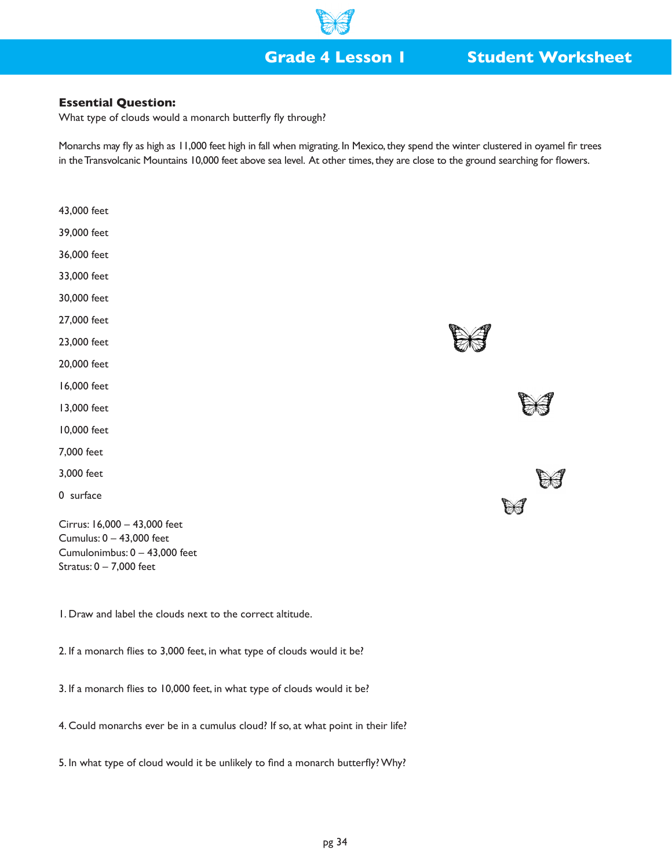

## **Grade 4 Lesson 1 Student Worksheet**

### **Essential Question:**

What type of clouds would a monarch butterfly fly through?

Monarchs may fly as high as 11,000 feet high in fall when migrating. In Mexico, they spend the winter clustered in oyamel fir trees in the Transvolcanic Mountains 10,000 feet above sea level. At other times, they are close to the ground searching for flowers.

- 43,000 feet
- 39,000 feet
- 36,000 feet
- 33,000 feet
- 30,000 feet
- 27,000 feet
- 23,000 feet
- 20,000 feet
- 16,000 feet
- 13,000 feet
- 10,000 feet
- 7,000 feet
- 3,000 feet
- 0 surface

Cirrus: 16,000 – 43,000 feet Cumulus: 0 – 43,000 feet Cumulonimbus: 0 – 43,000 feet Stratus: 0 – 7,000 feet

1. Draw and label the clouds next to the correct altitude.

2. If a monarch flies to 3,000 feet, in what type of clouds would it be?

3. If a monarch flies to 10,000 feet, in what type of clouds would it be?

4. Could monarchs ever be in a cumulus cloud? If so, at what point in their life?

5. In what type of cloud would it be unlikely to find a monarch butterfly? Why?